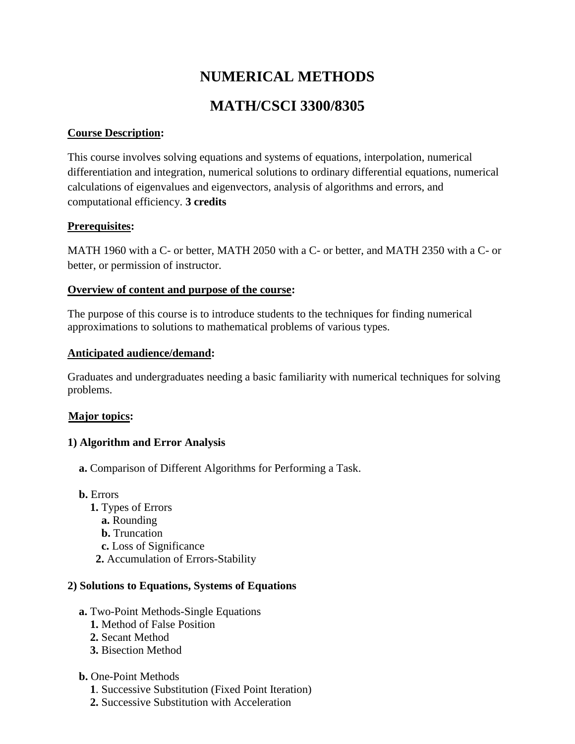# **NUMERICAL METHODS MATH/CSCI 3300/8305**

## **Course Description:**

This course involves solving equations and systems of equations, interpolation, numerical differentiation and integration, numerical solutions to ordinary differential equations, numerical calculations of eigenvalues and eigenvectors, analysis of algorithms and errors, and computational efficiency. **3 credits**

## **Prerequisites:**

MATH 1960 with a C- or better, MATH 2050 with a C- or better, and MATH 2350 with a C- or better, or permission of instructor.

# **Overview of content and purpose of the course:**

The purpose of this course is to introduce students to the techniques for finding numerical approximations to solutions to mathematical problems of various types.

#### **Anticipated audience/demand:**

Graduates and undergraduates needing a basic familiarity with numerical techniques for solving problems.

# **Major topics:**

# **1) Algorithm and Error Analysis**

- **a.** Comparison of Different Algorithms for Performing a Task.
- **b.** Errors
	- **1.** Types of Errors
		- **a.** Rounding
		- **b.** Truncation
		- **c.** Loss of Significance
	- **2.** Accumulation of Errors-Stability

# **2) Solutions to Equations, Systems of Equations**

- **a.** Two-Point Methods-Single Equations
	- **1.** Method of False Position
	- **2.** Secant Method
	- **3.** Bisection Method
- **b.** One-Point Methods
	- **1**. Successive Substitution (Fixed Point Iteration)
	- **2.** Successive Substitution with Acceleration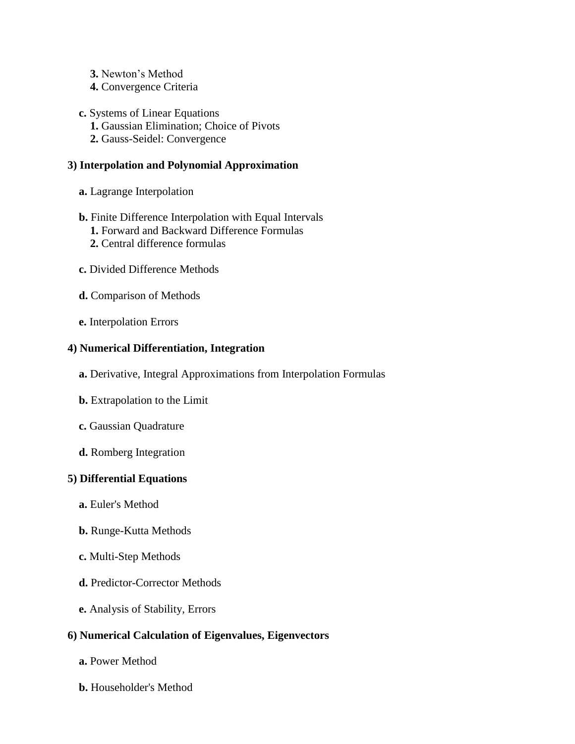- **3.** Newton's Method
- **4.** Convergence Criteria
- **c.** Systems of Linear Equations
	- **1.** Gaussian Elimination; Choice of Pivots
	- **2.** Gauss-Seidel: Convergence

## **3) Interpolation and Polynomial Approximation**

- **a.** Lagrange Interpolation
- **b.** Finite Difference Interpolation with Equal Intervals
	- **1.** Forward and Backward Difference Formulas
	- **2.** Central difference formulas
- **c.** Divided Difference Methods
- **d.** Comparison of Methods
- **e.** Interpolation Errors

## **4) Numerical Differentiation, Integration**

- **a.** Derivative, Integral Approximations from Interpolation Formulas
- **b.** Extrapolation to the Limit
- **c.** Gaussian Quadrature
- **d.** Romberg Integration

# **5) Differential Equations**

- **a.** Euler's Method
- **b.** Runge-Kutta Methods
- **c.** Multi-Step Methods
- **d.** Predictor-Corrector Methods
- **e.** Analysis of Stability, Errors

# **6) Numerical Calculation of Eigenvalues, Eigenvectors**

- **a.** Power Method
- **b.** Householder's Method